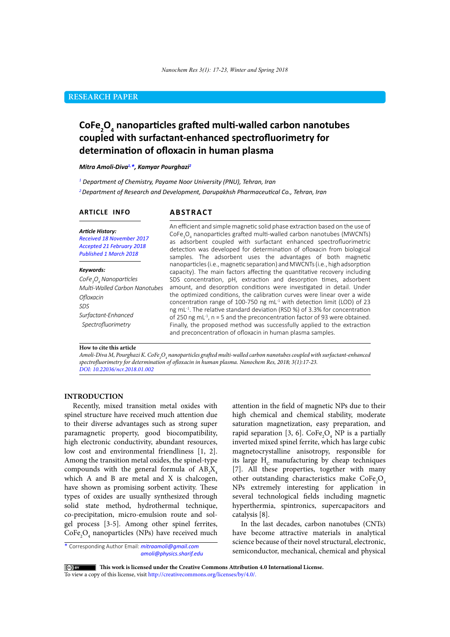# **RESEARCH PAPER**

# **CoFe2 O4 nanoparticles grafted multi-walled carbon nanotubes coupled with surfactant-enhanced spectrofluorimetry for determination of ofloxacin in human plasma**

*Mitra Amoli-Diva1,\*, Kamyar Pourghazi2*

*1 Department of Chemistry, Payame Noor University (PNU), Tehran, Iran*

*<sup>2</sup>Department of Research and Development, Darupakhsh Pharmaceutical Co., Tehran, Iran*

#### **ARTICLE INFO**

### **ABSTRACT**

*Article History: Received 18 November 2017 Accepted 21 February 2018 Published 1 March 2018*

#### *Keywords:*

*CoFe3 O4 Nanoparticles Multi-Walled Carbon Nanotubes Ofloxacin SDS Surfactant-Enhanced Spectrofluorimetry*

An efficient and simple magnetic solid phase extraction based on the use of CoFe<sub>3</sub>O<sub>4</sub> nanoparticles grafted multi-walled carbon nanotubes (MWCNTs) as adsorbent coupled with surfactant enhanced spectrofluorimetric detection was developed for determination of ofloxacin from biological samples. The adsorbent uses the advantages of both magnetic nanoparticles (i.e., magnetic separation) and MWCNTs (i.e., high adsorption capacity). The main factors affecting the quantitative recovery including SDS concentration, pH, extraction and desorption times, adsorbent amount, and desorption conditions were investigated in detail. Under the optimized conditions, the calibration curves were linear over a wide concentration range of 100-750 ng mL-1 with detection limit (LOD) of 23 ng mL-1. The relative standard deviation (RSD %) of 3.3% for concentration of 250 ng mL $^{-1}$ , n = 5 and the preconcentration factor of 93 were obtained. Finally, the proposed method was successfully applied to the extraction and preconcentration of ofloxacin in human plasma samples.

#### **How to cite this article**

Amoli-Diva M, Pourghazi K. CoFe<sub>2</sub>O<sub>4</sub> nanoparticles grafted multi-walled carbon nanotubes coupled with surfactant-enhanced *spectrofluorimetry for determination of ofloxacin in human plasma. Nanochem Res, 2018; 3(1):17-23. DOI: 10.22036/ncr.2018.01.002*

### **INTRODUCTION**

Recently, mixed transition metal oxides with spinel structure have received much attention due to their diverse advantages such as strong super paramagnetic property, good biocompatibility, high electronic conductivity, abundant resources, low cost and environmental friendliness [1, 2]. Among the transition metal oxides, the spinel-type compounds with the general formula of  $AB_2X_4$ which A and B are metal and X is chalcogen, have shown as promising sorbent activity. These types of oxides are usually synthesized through solid state method, hydrothermal technique, co-precipitation, micro-emulsion route and solgel process [3-5]. Among other spinel ferrites,  $\text{CoFe}_2\text{O}_4$  nanoparticles (NPs) have received much

\* Corresponding Author Email: *mitraamoli@gmail.com amoli@physics.sharif.edu* attention in the field of magnetic NPs due to their high chemical and chemical stability, moderate saturation magnetization, easy preparation, and rapid separation [3, 6].  $\text{CoFe}_2\text{O}_4$  NP is a partially inverted mixed spinel ferrite, which has large cubic magnetocrystalline anisotropy, responsible for its large  $H_c$  manufacturing by cheap techniques [7]. All these properties, together with many other outstanding characteristics make  $\text{CoFe}_2\text{O}_4$ NPs extremely interesting for application in several technological fields including magnetic hyperthermia, spintronics, supercapacitors and catalysis [8].

In the last decades, carbon nanotubes (CNTs) have become attractive materials in analytical science because of their novel structural, electronic, semiconductor, mechanical, chemical and physical

 **This work is licensed under the Creative Commons Attribution 4.0 International License.** 

To view a copy of this license, visit [http://creativecommons.org/licenses/by/4.0/.](http://creativecommons.org/licenses/by/4.0/)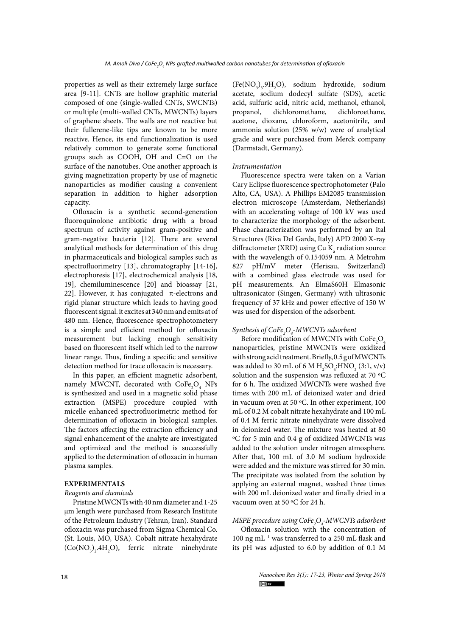properties as well as their extremely large surface area [9-11]. CNTs are hollow graphitic material composed of one (single-walled CNTs, SWCNTs) or multiple (multi-walled CNTs, MWCNTs) layers of graphene sheets. The walls are not reactive but their fullerene-like tips are known to be more reactive. Hence, its end functionalization is used relatively common to generate some functional groups such as COOH, OH and C=O on the surface of the nanotubes. One another approach is giving magnetization property by use of magnetic nanoparticles as modifier causing a convenient separation in addition to higher adsorption capacity.

Ofloxacin is a synthetic second-generation fluoroquinolone antibiotic drug with a broad spectrum of activity against gram-positive and gram-negative bacteria [12]. There are several analytical methods for determination of this drug in pharmaceuticals and biological samples such as spectrofluorimetry [13], chromatography [14-16], electrophoresis [17], electrochemical analysis [18, 19], chemiluminescence [20] and bioassay [21, 22]. However, it has conjugated  $\pi$ -electrons and rigid planar structure which leads to having good fluorescent signal. it excites at 340 nm and emits at of 480 nm. Hence, fluorescence spectrophotometery is a simple and efficient method for ofloxacin measurement but lacking enough sensitivity based on fluorescent itself which led to the narrow linear range. Thus, finding a specific and sensitive detection method for trace ofloxacin is necessary.

In this paper, an efficient magnetic adsorbent, namely MWCNT, decorated with  $\text{CoFe}_2\text{O}_4$  NPs is synthesized and used in a magnetic solid phase extraction (MSPE) procedure coupled with micelle enhanced spectrofluorimetric method for determination of ofloxacin in biological samples. The factors affecting the extraction efficiency and signal enhancement of the analyte are investigated and optimized and the method is successfully applied to the determination of ofloxacin in human plasma samples.

### **EXPERIMENTALS**

## *Reagents and chemicals*

Pristine MWCNTs with 40 nm diameter and 1-25 μm length were purchased from Research Institute of the Petroleum Industry (Tehran, Iran). Standard ofloxacin was purchased from Sigma Chemical Co. (St. Louis, MO, USA). Cobalt nitrate hexahydrate  $(Co(NO<sub>3</sub>)<sub>2</sub>$ .4H<sub>2</sub>O), ferric nitrate ninehydrate  $(Fe(NO<sub>3</sub>)<sub>3</sub>·9H<sub>2</sub>O)$ , sodium hydroxide, sodium acetate, sodium dodecyl sulfate (SDS), acetic acid, sulfuric acid, nitric acid, methanol, ethanol, propanol, dichloromethane, acetone, dioxane, chloroform, acetonitrile, and ammonia solution (25% w/w) were of analytical grade and were purchased from Merck company (Darmstadt, Germany).

#### *Instrumentation*

Fluorescence spectra were taken on a Varian Cary Eclipse fluorescence spectrophotometer (Palo Alto, CA, USA). A Phillips EM2085 transmission electron microscope (Amsterdam, Netherlands) with an accelerating voltage of 100 kV was used to characterize the morphology of the adsorbent. Phase characterization was performed by an Ital Structures (Riva Del Garda, Italy) APD 2000 X-ray diffractometer (XRD) using Cu  $K_a$  radiation source with the wavelength of 0.154059 nm. A Metrohm 827 pH/mV meter (Herisau, Switzerland) with a combined glass electrode was used for pH measurements. An ElmaS60H Elmasonic ultrasonicator (Singen, Germany) with ultrasonic frequency of 37 kHz and power effective of 150 W was used for dispersion of the adsorbent.

# *Synthesis of CoFe2 O4 -MWCNTs adsorbent*

Before modification of MWCNTs with  $\text{CoFe}_2\text{O}_4$ nanoparticles, pristine MWCNTs were oxidized with strong acid treatment. Briefly, 0.5 g of MWCNTs was added to 30 mL of 6 M  $H_2SO_4$ :HNO<sub>3</sub> (3:1, v/v) solution and the suspension was refluxed at 70 ºC for 6 h. The oxidized MWCNTs were washed five times with 200 mL of deionized water and dried in vacuum oven at 50 ºC. In other experiment, 100 mL of 0.2 M cobalt nitrate hexahydrate and 100 mL of 0.4 M ferric nitrate ninehydrate were dissolved in deionized water. The mixture was heated at 80 ºC for 5 min and 0.4 g of oxidized MWCNTs was added to the solution under nitrogen atmosphere. After that, 100 mL of 3.0 M sodium hydroxide were added and the mixture was stirred for 30 min. The precipitate was isolated from the solution by applying an external magnet, washed three times with 200 mL deionized water and finally dried in a vacuum oven at 50 ºC for 24 h.

# *MSPE procedure using CoFe2 O4 -MWCNTs adsorbent*

Ofloxacin solution with the concentration of 100 ng mL<sup>-1</sup> was transferred to a 250 mL flask and its pH was adjusted to 6.0 by addition of 0.1 M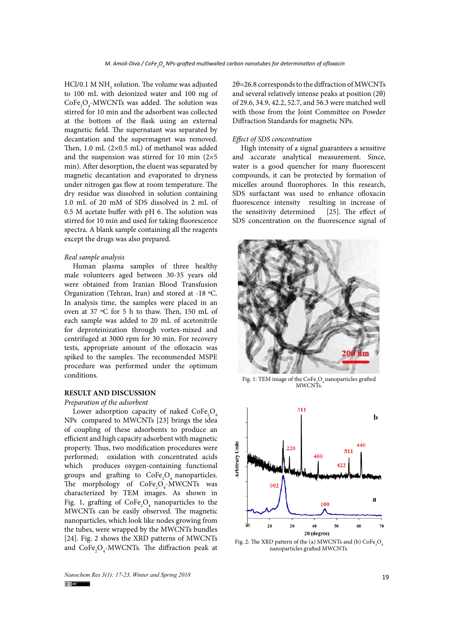HCl/0.1 M  $NH_3$  solution. The volume was adjusted to 100 mL with deionized water and 100 mg of  $\text{CoFe}_{2}\text{O}_{4}$ -MWCNTs was added. The solution was stirred for 10 min and the adsorbent was collected at the bottom of the flask using an external magnetic field. The supernatant was separated by decantation and the supermagnet was removed. Then, 1.0 mL (2×0.5 mL) of methanol was added and the suspension was stirred for 10 min  $(2\times5)$ min). After desorption, the eluent was separated by magnetic decantation and evaporated to dryness under nitrogen gas flow at room temperature. The dry residue was dissolved in solution containing 1.0 mL of 20 mM of SDS dissolved in 2 mL of 0.5 M acetate buffer with pH 6. The solution was stirred for 10 min and used for taking fluorescence spectra. A blank sample containing all the reagents except the drugs was also prepared.

#### *Real sample analysis*

Human plasma samples of three healthy male volunteers aged between 30-35 years old were obtained from Iranian Blood Transfusion Organization (Tehran, Iran) and stored at -18 ºC. In analysis time, the samples were placed in an oven at 37 ºC for 5 h to thaw. Then, 150 mL of each sample was added to 20 mL of acetonitrile for deproteinization through vortex-mixed and centrifuged at 3000 rpm for 30 min. For recovery tests, appropriate amount of the ofloxacin was spiked to the samples. The recommended MSPE procedure was performed under the optimum conditions.

### **RESULT AND DISCUSSION**

### *Preparation of the adsorbent*

Lower adsorption capacity of naked  $\text{CoFe}_{2}\text{O}_{4}$ NPs compared to MWCNTs [23] brings the idea of coupling of these adsorbents to produce an efficient and high capacity adsorbent with magnetic property. Thus, two modification procedures were performed; oxidation with concentrated acids which produces oxygen-containing functional groups and grafting to  $\text{CoFe}_2\text{O}_4$  nanoparticles. The morphology of  $CoFe<sub>2</sub>O<sub>4</sub>$ -MWCNTs was characterized by TEM images. As shown in Fig. 1, grafting of  $\text{CoFe}_2\text{O}_4$  nanoparticles to the MWCNTs can be easily observed. The magnetic nanoparticles, which look like nodes growing from the tubes, were wrapped by the MWCNTs bundles [24]. Fig. 2 shows the XRD patterns of MWCNTs and  $\text{CoFe}_{2}\text{O}_{4}$ -MWCNTs. The diffraction peak at 2θ=26.8 corresponds to the diffraction of MWCNTs and several relatively intense peaks at position (2θ) of 29.6, 34.9, 42.2, 52.7, and 56.3 were matched well with those from the Joint Committee on Powder Diffraction Standards for magnetic NPs.

### *Effect of SDS concentration*

High intensity of a signal guarantees a sensitive and accurate analytical measurement. Since, water is a good quencher for many fluorescent compounds, it can be protected by formation of micelles around fluorophores. In this research, SDS surfactant was used to enhance ofloxacin fluorescence intensity resulting in increase of<br>the sensitivity determined [25]. The effect of the sensitivity determined SDS concentration on the fluorescence signal of



**Fig. 1** MWCNTs. Fig. 1: TEM image of the  $\text{CoFe}_{2}\text{O}_{4}$  nanoparticles grafted



**Fig. 2** nanoparticles grafted MWCNTs.Fig. 2: The XRD pattern of the (a) MWCNTs and (b)  $\text{CoFe}_2\text{O}_4$ 

*Nanochem Res 3(1): 17-23, Winter and Spring 2018* 19<br> **19**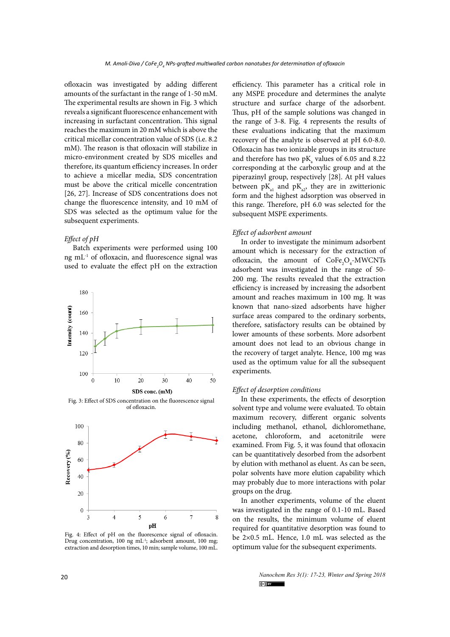ofloxacin was investigated by adding different amounts of the surfactant in the range of 1-50 mM. The experimental results are shown in Fig. 3 which reveals a significant fluorescence enhancement with increasing in surfactant concentration. This signal reaches the maximum in 20 mM which is above the critical micellar concentration value of SDS (i.e. 8.2. mM). The reason is that ofloxacin will stabilize in micro-environment created by SDS micelles and therefore, its quantum efficiency increases. In order to achieve a micellar media, SDS concentration must be above the critical micelle concentration [26, 27]. Increase of SDS concentrations does not change the fluorescence intensity, and 10 mM of SDS was selected as the optimum value for the subsequent experiments.

### *Effect of pH*

Batch experiments were performed using 100 ng mL-1 of ofloxacin, and fluorescence signal was used to evaluate the effect pH on the extraction



**Fig. 3** of ofloxacin. Fig. 3: Effect of SDS concentration on the fluorescence signal



**Fig. 4** Drug concentration, 100 ng mL-1; adsorbent amount, 100 mg; Fig. 4: Effect of pH on the fluorescence signal of ofloxacin. extraction and desorption times, 10 min; sample volume, 100 mL.

efficiency. This parameter has a critical role in any MSPE procedure and determines the analyte structure and surface charge of the adsorbent. Thus, pH of the sample solutions was changed in the range of 3-8. Fig. 4 represents the results of these evaluations indicating that the maximum recovery of the analyte is observed at pH 6.0-8.0. Ofloxacin has two ionizable groups in its structure and therefore has two  $pK_a$  values of 6.05 and 8.22 corresponding at the carboxylic group and at the piperazinyl group, respectively [28]. At pH values between  $pK_{a1}$  and  $pK_{a2}$ , they are in zwitterionic form and the highest adsorption was observed in this range. Therefore, pH 6.0 was selected for the subsequent MSPE experiments.

#### *Effect of adsorbent amount*

In order to investigate the minimum adsorbent amount which is necessary for the extraction of ofloxacin, the amount of  $\text{CoFe}_2\text{O}_4$ -MWCNTs adsorbent was investigated in the range of 50- 200 mg. The results revealed that the extraction efficiency is increased by increasing the adsorbent amount and reaches maximum in 100 mg. It was known that nano-sized adsorbents have higher surface areas compared to the ordinary sorbents, therefore, satisfactory results can be obtained by lower amounts of these sorbents. More adsorbent amount does not lead to an obvious change in the recovery of target analyte. Hence, 100 mg was used as the optimum value for all the subsequent experiments.

### *Effect of desorption conditions*

In these experiments, the effects of desorption solvent type and volume were evaluated. To obtain maximum recovery, different organic solvents including methanol, ethanol, dichloromethane, acetone, chloroform, and acetonitrile were examined. From Fig. 5, it was found that ofloxacin can be quantitatively desorbed from the adsorbent by elution with methanol as eluent. As can be seen, polar solvents have more elution capability which may probably due to more interactions with polar groups on the drug.

In another experiments, volume of the eluent was investigated in the range of 0.1-10 mL. Based on the results, the minimum volume of eluent required for quantitative desorption was found to be 2×0.5 mL. Hence, 1.0 mL was selected as the optimum value for the subsequent experiments.

> *Nanochem Res 3(1): 17-23, Winter and Spring 2018*  $(cc)$  BY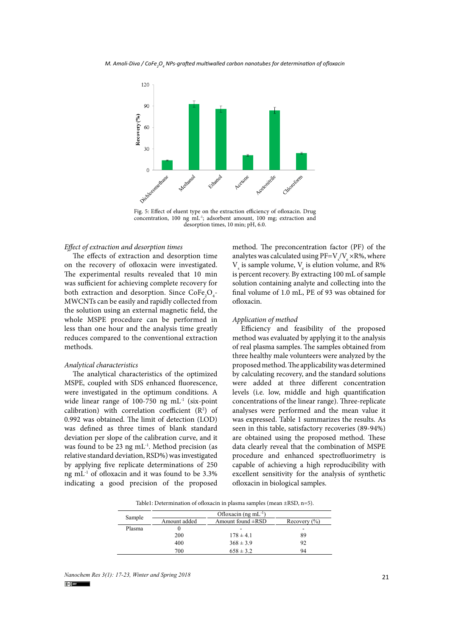

**Fig. 5**  concentration, 100 ng mL-1; adsorbent amount, 100 mg; extraction and Fig. 5: Effect of eluent type on the extraction efficiency of ofloxacin. Drug desorption times, 10 min; pH, 6.0.

### *Effect of extraction and desorption times*

The effects of extraction and desorption time on the recovery of ofloxacin were investigated. The experimental results revealed that 10 min was sufficient for achieving complete recovery for both extraction and desorption. Since  $\text{CoFe}_{2}\text{O}_{4}$ -MWCNTs can be easily and rapidly collected from the solution using an external magnetic field, the whole MSPE procedure can be performed in less than one hour and the analysis time greatly reduces compared to the conventional extraction methods.

#### *Analytical characteristics*

The analytical characteristics of the optimized MSPE, coupled with SDS enhanced fluorescence, were investigated in the optimum conditions. A wide linear range of 100-750 ng mL-1 (six-point calibration) with correlation coefficient  $(R^2)$  of 0.992 was obtained. The limit of detection (LOD) was defined as three times of blank standard deviation per slope of the calibration curve, and it was found to be 23 ng  $mL^{-1}$ . Method precision (as relative standard deviation, RSD%) was investigated by applying five replicate determinations of 250 ng  $mL<sup>-1</sup>$  of ofloxacin and it was found to be 3.3% indicating a good precision of the proposed

method. The preconcentration factor (PF) of the analytes was calculated using  $\text{PF=}\nabla_s / \nabla_e \times \text{R}$ %, where  $V_s$  is sample volume,  $V_e$  is elution volume, and R% is percent recovery. By extracting 100 mL of sample solution containing analyte and collecting into the final volume of 1.0 mL, PE of 93 was obtained for ofloxacin.

### *Application of method*

Efficiency and feasibility of the proposed method was evaluated by applying it to the analysis of real plasma samples. The samples obtained from three healthy male volunteers were analyzed by the proposed method. The applicability was determined by calculating recovery, and the standard solutions were added at three different concentration levels (i.e. low, middle and high quantification concentrations of the linear range). Three-replicate analyses were performed and the mean value it was expressed. Table 1 summarizes the results. As seen in this table, satisfactory recoveries (89-94%) are obtained using the proposed method. These data clearly reveal that the combination of MSPE procedure and enhanced spectrofluorimetry is capable of achieving a high reproducibility with excellent sensitivity for the analysis of synthetic ofloxacin in biological samples.

Table1: Determination of ofloxacin in plasma samples (mean ±RSD, n=5).

| Sample | Ofloxacin (ng mL $^{-1}$ ) |                        |                  |
|--------|----------------------------|------------------------|------------------|
|        | Amount added               | Amount found $\pm$ RSD | Recovery $(\% )$ |
| Plasma |                            | -                      | -                |
|        | 200                        | $178 \pm 4.1$          | 89               |
|        | 400                        | $368 \pm 3.9$          | 92               |
|        | 700                        | $658 \pm 3.2$          | 94               |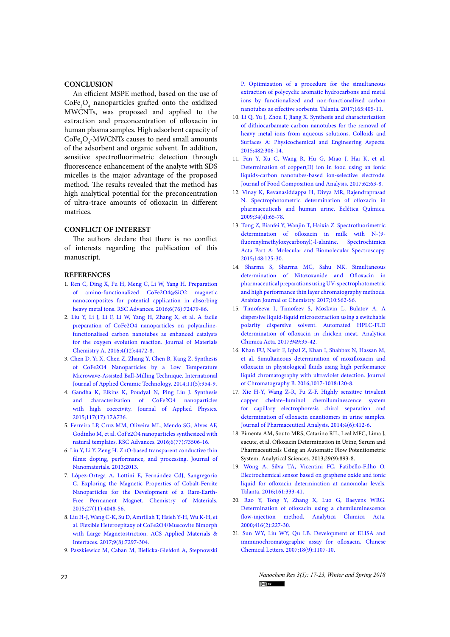### **CONCLUSION**

An efficient MSPE method, based on the use of  $\text{CoFe}_{2}\text{O}_{4}$  nanoparticles grafted onto the oxidized MWCNTs, was proposed and applied to the extraction and preconcentration of ofloxacin in human plasma samples. High adsorbent capacity of  $\text{CoFe}_2\text{O}_4$ -MWCNTs causes to need small amounts of the adsorbent and organic solvent. In addition, sensitive spectrofluorimetric detection through fluorescence enhancement of the analyte with SDS micelles is the major advantage of the proposed method. The results revealed that the method has high analytical potential for the preconcentration of ultra-trace amounts of ofloxacin in different matrices.

### **CONFLICT OF INTEREST**

The authors declare that there is no conflict of interests regarding the publication of this manuscript.

### **REFERENCES**

- 1. [Ren C, Ding X, Fu H, Meng C, Li W, Yang H. Preparation](http://dx.doi.org/10.1039/C6RA13304E)  [of amino-functionalized CoFe2O4@SiO2 magnetic](http://dx.doi.org/10.1039/C6RA13304E)  [nanocomposites for potential application in absorbing](http://dx.doi.org/10.1039/C6RA13304E)  [heavy metal ions. RSC Advances. 2016;6\(76\):72479-86.](http://dx.doi.org/10.1039/C6RA13304E)
- 2. [Liu Y, Li J, Li F, Li W, Yang H, Zhang X, et al. A facile](http://dx.doi.org/10.1039/C5TA10420C)  [preparation of CoFe2O4 nanoparticles on polyaniline](http://dx.doi.org/10.1039/C5TA10420C)[functionalised carbon nanotubes as enhanced catalysts](http://dx.doi.org/10.1039/C5TA10420C)  [for the oxygen evolution reaction. Journal of Materials](http://dx.doi.org/10.1039/C5TA10420C)  [Chemistry A. 2016;4\(12\):4472-8.](http://dx.doi.org/10.1039/C5TA10420C)
- 3. [Chen D, Yi X, Chen Z, Zhang Y, Chen B, Kang Z. Synthesis](https://onlinelibrary.wiley.com/doi/full/10.1111/ijac.12110)  [of CoFe2O4 Nanoparticles by a Low Temperature](https://onlinelibrary.wiley.com/doi/full/10.1111/ijac.12110)  [Microwave‐Assisted Ball‐Milling Technique. International](https://onlinelibrary.wiley.com/doi/full/10.1111/ijac.12110)  [Journal of Applied Ceramic Technology. 2014;11\(5\):954-9.](https://onlinelibrary.wiley.com/doi/full/10.1111/ijac.12110)
- 4. [Gandha K, Elkins K, Poudyal N, Ping Liu J. Synthesis](https://aip.scitation.org/doi/abs/10.1063/1.4916544)  [and characterization of CoFe2O4 nanoparticles](https://aip.scitation.org/doi/abs/10.1063/1.4916544)  [with high coercivity. Journal of Applied Physics.](https://aip.scitation.org/doi/abs/10.1063/1.4916544)  [2015;117\(17\):17A736.](https://aip.scitation.org/doi/abs/10.1063/1.4916544)
- 5. [Ferreira LP, Cruz MM, Oliveira ML, Mendo SG, Alves AF,](http://dx.doi.org/10.1039/C6RA13818G)  [Godinho M, et al. CoFe2O4 nanoparticles synthesized with](http://dx.doi.org/10.1039/C6RA13818G)  [natural templates. RSC Advances. 2016;6\(77\):73506-16.](http://dx.doi.org/10.1039/C6RA13818G)
- 6. [Liu Y, Li Y, Zeng H. ZnO-based transparent conductive thin](https://www.hindawi.com/journals/jnm/2013/196521/abs/)  [films: doping, performance, and processing. Journal of](https://www.hindawi.com/journals/jnm/2013/196521/abs/)  [Nanomaterials. 2013;2013.](https://www.hindawi.com/journals/jnm/2013/196521/abs/)
- 7. [López-Ortega A, Lottini E, Fernández CdJ, Sangregorio](https://doi.org/10.1021/acs.chemmater.5b01034)  [C. Exploring the Magnetic Properties of Cobalt-Ferrite](https://doi.org/10.1021/acs.chemmater.5b01034)  [Nanoparticles for the Development of a Rare-Earth-](https://doi.org/10.1021/acs.chemmater.5b01034)[Free Permanent Magnet. Chemistry of Materials.](https://doi.org/10.1021/acs.chemmater.5b01034)  [2015;27\(11\):4048-56.](https://doi.org/10.1021/acs.chemmater.5b01034)
- 8. [Liu H-J, Wang C-K, Su D, Amrillah T, Hsieh Y-H, Wu K-H, et](https://doi.org/10.1021/acsami.6b16485)  [al. Flexible Heteroepitaxy of CoFe2O4/Muscovite Bimorph](https://doi.org/10.1021/acsami.6b16485)  [with Large Magnetostriction. ACS Applied Materials &](https://doi.org/10.1021/acsami.6b16485)  [Interfaces. 2017;9\(8\):7297-304.](https://doi.org/10.1021/acsami.6b16485)
- 9. [Paszkiewicz M, Caban M, Bielicka-Giełdoń A, Stepnowski](http://www.sciencedirect.com/science/article/pii/S0039914016307998)

[P. Optimization of a procedure for the simultaneous](http://www.sciencedirect.com/science/article/pii/S0039914016307998) [extraction of polycyclic aromatic hydrocarbons and metal](http://www.sciencedirect.com/science/article/pii/S0039914016307998) [ions by functionalized and non-functionalized carbon](http://www.sciencedirect.com/science/article/pii/S0039914016307998) [nanotubes as effective sorbents. Talanta. 2017;165:405-11.](http://www.sciencedirect.com/science/article/pii/S0039914016307998)

- 10. [Li Q, Yu J, Zhou F, Jiang X. Synthesis and characterization](http://www.sciencedirect.com/science/article/pii/S0927775715300522) [of dithiocarbamate carbon nanotubes for the removal of](http://www.sciencedirect.com/science/article/pii/S0927775715300522) [heavy metal ions from aqueous solutions. Colloids and](http://www.sciencedirect.com/science/article/pii/S0927775715300522) [Surfaces A: Physicochemical and Engineering Aspects.](http://www.sciencedirect.com/science/article/pii/S0927775715300522) [2015;482:306-14.](http://www.sciencedirect.com/science/article/pii/S0927775715300522)
- 11. [Fan Y, Xu C, Wang R, Hu G, Miao J, Hai K, et al.](http://www.sciencedirect.com/science/article/pii/S0889157517301205) [Determination of copper\(II\) ion in food using an ionic](http://www.sciencedirect.com/science/article/pii/S0889157517301205) [liquids-carbon nanotubes-based ion-selective electrode.](http://www.sciencedirect.com/science/article/pii/S0889157517301205) [Journal of Food Composition and Analysis. 2017;62:63-8.](http://www.sciencedirect.com/science/article/pii/S0889157517301205)
- 12. [Vinay K, Revanasiddappa H, Divya MR, Rajendraprasad](http://www.scielo.br/scielo.php?pid=S0100-46702009000400006&script=sci_arttext&tlng=pt) [N. Spectrophotometric determination of ofloxacin in](http://www.scielo.br/scielo.php?pid=S0100-46702009000400006&script=sci_arttext&tlng=pt) [pharmaceuticals and human urine. Eclética Química.](http://www.scielo.br/scielo.php?pid=S0100-46702009000400006&script=sci_arttext&tlng=pt) [2009;34\(4\):65-78.](http://www.scielo.br/scielo.php?pid=S0100-46702009000400006&script=sci_arttext&tlng=pt)
- 13. [Tong Z, Bianfei Y, Wanjin T, Haixia Z. Spectrofluorimetric](http://www.sciencedirect.com/science/article/pii/S1386142515004084) [determination of ofloxacin in milk with N-\(9](http://www.sciencedirect.com/science/article/pii/S1386142515004084) [fluorenylmethyloxycarbonyl\)-l-alanine. Spectrochimica](http://www.sciencedirect.com/science/article/pii/S1386142515004084) [Acta Part A: Molecular and Biomolecular Spectroscopy.](http://www.sciencedirect.com/science/article/pii/S1386142515004084) [2015;148:125-30.](http://www.sciencedirect.com/science/article/pii/S1386142515004084)
- 14. [Sharma S, Sharma MC, Sahu NK. Simultaneous](http://www.sciencedirect.com/science/article/pii/S1878535212001566) [determination of Nitazoxanide and Ofloxacin in](http://www.sciencedirect.com/science/article/pii/S1878535212001566) [pharmaceutical preparations using UV-spectrophotometric](http://www.sciencedirect.com/science/article/pii/S1878535212001566) [and high performance thin layer chromatography methods.](http://www.sciencedirect.com/science/article/pii/S1878535212001566) [Arabian Journal of Chemistry. 2017;10:S62-S6.](http://www.sciencedirect.com/science/article/pii/S1878535212001566)
- 15. [Timofeeva I, Timofeev S, Moskvin L, Bulatov A. A](http://www.sciencedirect.com/science/article/pii/S0003267016313046) [dispersive liquid-liquid microextraction using a switchable](http://www.sciencedirect.com/science/article/pii/S0003267016313046) [polarity dispersive solvent. Automated HPLC-FLD](http://www.sciencedirect.com/science/article/pii/S0003267016313046) [determination of ofloxacin in chicken meat. Analytica](http://www.sciencedirect.com/science/article/pii/S0003267016313046) [Chimica Acta. 2017;949:35-42.](http://www.sciencedirect.com/science/article/pii/S0003267016313046)
- 16. [Khan FU, Nasir F, Iqbal Z, Khan I, Shahbaz N, Hassan M,](http://www.sciencedirect.com/science/article/pii/S1570023216301337) [et al. Simultaneous determination of moxifloxacin and](http://www.sciencedirect.com/science/article/pii/S1570023216301337) [ofloxacin in physiological fluids using high performance](http://www.sciencedirect.com/science/article/pii/S1570023216301337) [liquid chromatography with ultraviolet detection. Journal](http://www.sciencedirect.com/science/article/pii/S1570023216301337) [of Chromatography B. 2016;1017-1018:120-8.](http://www.sciencedirect.com/science/article/pii/S1570023216301337)
- 17. [Xie H-Y, Wang Z-R, Fu Z-F. Highly sensitive trivalent](http://www.sciencedirect.com/science/article/pii/S2095177914000458) [copper chelate–luminol chemiluminescence system](http://www.sciencedirect.com/science/article/pii/S2095177914000458) [for capillary electrophoresis chiral separation and](http://www.sciencedirect.com/science/article/pii/S2095177914000458) [determination of ofloxacin enantiomers in urine samples.](http://www.sciencedirect.com/science/article/pii/S2095177914000458) [Journal of Pharmaceutical Analysis. 2014;4\(6\):412-6.](http://www.sciencedirect.com/science/article/pii/S2095177914000458)
- 18. Pimenta AM, Souto MRS, Catarino RIL, Leal MFC, Lima J, eacute, et al. Ofloxacin Determination in Urine, Serum and Pharmaceuticals Using an Automatic Flow Potentiometric System. Analytical Sciences. 2013;29(9):893-8.
- 19. [Wong A, Silva TA, Vicentini FC, Fatibello-Filho O.](http://www.sciencedirect.com/science/article/pii/S0039914016306099) [Electrochemical sensor based on graphene oxide and ionic](http://www.sciencedirect.com/science/article/pii/S0039914016306099) [liquid for ofloxacin determination at nanomolar levels.](http://www.sciencedirect.com/science/article/pii/S0039914016306099) [Talanta. 2016;161:333-41.](http://www.sciencedirect.com/science/article/pii/S0039914016306099)
- 20. [Rao Y, Tong Y, Zhang X, Luo G, Baeyens WRG.](http://www.sciencedirect.com/science/article/pii/S0003267000009041) [Determination of ofloxacin using a chemiluminescence](http://www.sciencedirect.com/science/article/pii/S0003267000009041) [flow-injection method. Analytica Chimica Acta.](http://www.sciencedirect.com/science/article/pii/S0003267000009041) [2000;416\(2\):227-30.](http://www.sciencedirect.com/science/article/pii/S0003267000009041)
- 21. [Sun WY, Liu WY, Qu LB. Development of ELISA and](http://www.sciencedirect.com/science/article/pii/S1001841707003038) [immunochromatographic assay for ofloxacin. Chinese](http://www.sciencedirect.com/science/article/pii/S1001841707003038) [Chemical Letters. 2007;18\(9\):1107-10.](http://www.sciencedirect.com/science/article/pii/S1001841707003038)

22 *Nanochem Res 3(1): 17-23, Winter and Spring 2018*